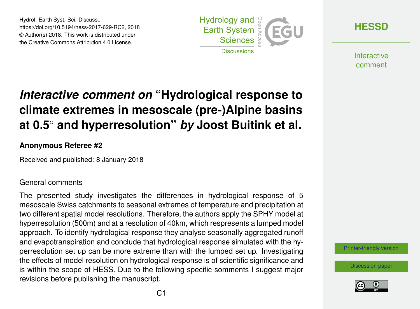Hydrol. Earth Syst. Sci. Discuss., https://doi.org/10.5194/hess-2017-629-RC2, 2018 © Author(s) 2018. This work is distributed under the Creative Commons Attribution 4.0 License.



**[HESSD](https://www.hydrol-earth-syst-sci-discuss.net/)**

**Interactive** comment

# *Interactive comment on* **"Hydrological response to climate extremes in mesoscale (pre-)Alpine basins at 0.5**◦ **and hyperresolution"** *by* **Joost Buitink et al.**

#### **Anonymous Referee #2**

Received and published: 8 January 2018

#### General comments

The presented study investigates the differences in hydrological response of 5 mesoscale Swiss catchments to seasonal extremes of temperature and precipitation at two different spatial model resolutions. Therefore, the authors apply the SPHY model at hyperresolution (500m) and at a resolution of 40km, which respresents a lumped model approach. To identify hydrological response they analyse seasonally aggregated runoff and evapotranspiration and conclude that hydrological response simulated with the hyperresolution set up can be more extreme than with the lumped set up. Investigating the effects of model resolution on hydrological response is of scientific significance and is within the scope of HESS. Due to the following specific somments I suggest major revisions before publishing the manuscript.

[Printer-friendly version](https://www.hydrol-earth-syst-sci-discuss.net/hess-2017-629/hess-2017-629-RC2-print.pdf)

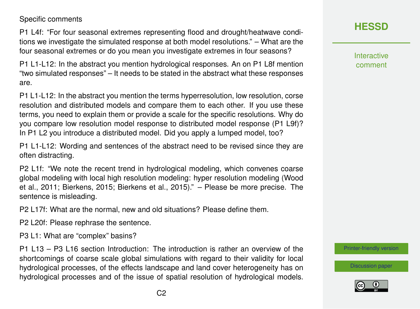Specific comments

P1 L4f: "For four seasonal extremes representing flood and drought/heatwave conditions we investigate the simulated response at both model resolutions." – What are the four seasonal extremes or do you mean you investigate extremes in four seasons?

P1 L1-L12: In the abstract you mention hydrological responses. An on P1 L8f mention "two simulated responses" – It needs to be stated in the abstract what these responses are.

P1 L1-L12: In the abstract you mention the terms hyperresolution, low resolution, corse resolution and distributed models and compare them to each other. If you use these terms, you need to explain them or provide a scale for the specific resolutions. Why do you compare low resolution model response to distributed model response (P1 L9f)? In P1 L2 you introduce a distributed model. Did you apply a lumped model, too?

P1 L1-L12: Wording and sentences of the abstract need to be revised since they are often distracting.

P2 L1f: "We note the recent trend in hydrological modeling, which convenes coarse global modeling with local high resolution modeling: hyper resolution modeling (Wood et al., 2011; Bierkens, 2015; Bierkens et al., 2015)." – Please be more precise. The sentence is misleading.

P2 L17f: What are the normal, new and old situations? Please define them.

P2 L20f: Please rephrase the sentence.

P3 L1: What are "complex" basins?

P1 L13 – P3 L16 section Introduction: The introduction is rather an overview of the shortcomings of coarse scale global simulations with regard to their validity for local hydrological processes, of the effects landscape and land cover heterogeneity has on hydrological processes and of the issue of spatial resolution of hydrological models. **[HESSD](https://www.hydrol-earth-syst-sci-discuss.net/)**

Interactive comment

[Printer-friendly version](https://www.hydrol-earth-syst-sci-discuss.net/hess-2017-629/hess-2017-629-RC2-print.pdf)

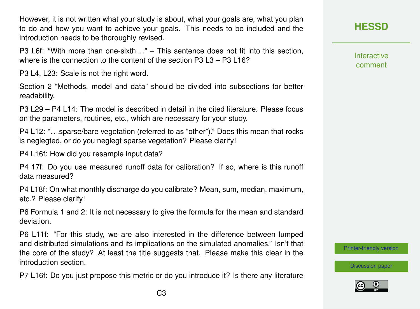However, it is not written what your study is about, what your goals are, what you plan to do and how you want to achieve your goals. This needs to be included and the introduction needs to be thoroughly revised.

P3 L6f: "With more than one-sixth..."  $-$  This sentence does not fit into this section. where is the connection to the content of the section P3 L3 – P3 L16?

P3 L4, L23: Scale is not the right word.

Section 2 "Methods, model and data" should be divided into subsections for better readability.

P3 L29 – P4 L14: The model is described in detail in the cited literature. Please focus on the parameters, routines, etc., which are necessary for your study.

P4 L12: ". . .sparse/bare vegetation (referred to as "other")." Does this mean that rocks is neglegted, or do you neglegt sparse vegetation? Please clarify!

P4 L16f: How did you resample input data?

P4 17f: Do you use measured runoff data for calibration? If so, where is this runoff data measured?

P4 L18f: On what monthly discharge do you calibrate? Mean, sum, median, maximum, etc.? Please clarify!

P6 Formula 1 and 2: It is not necessary to give the formula for the mean and standard deviation.

P6 L11f: "For this study, we are also interested in the difference between lumped and distributed simulations and its implications on the simulated anomalies." Isn't that the core of the study? At least the title suggests that. Please make this clear in the introduction section.

P7 L16f: Do you just propose this metric or do you introduce it? Is there any literature

Interactive comment

[Printer-friendly version](https://www.hydrol-earth-syst-sci-discuss.net/hess-2017-629/hess-2017-629-RC2-print.pdf)

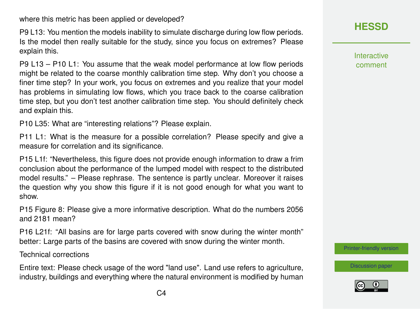where this metric has been applied or developed?

P9 L13: You mention the models inability to simulate discharge during low flow periods. Is the model then really suitable for the study, since you focus on extremes? Please explain this.

P9 L13 – P10 L1: You assume that the weak model performance at low flow periods might be related to the coarse monthly calibration time step. Why don't you choose a finer time step? In your work, you focus on extremes and you realize that your model has problems in simulating low flows, which you trace back to the coarse calibration time step, but you don't test another calibration time step. You should definitely check and explain this.

P10 L35: What are "interesting relations"? Please explain.

P11 L1: What is the measure for a possible correlation? Please specify and give a measure for correlation and its significance.

P15 L1f: "Nevertheless, this figure does not provide enough information to draw a frim conclusion about the performance of the lumped model with respect to the distributed model results." – Please rephrase. The sentence is partly unclear. Moreover it raises the question why you show this figure if it is not good enough for what you want to show.

P15 Figure 8: Please give a more informative description. What do the numbers 2056 and 2181 mean?

P16 L21f: "All basins are for large parts covered with snow during the winter month" better: Large parts of the basins are covered with snow during the winter month.

Technical corrections

Entire text: Please check usage of the word "land use". Land use refers to agriculture, industry, buildings and everything where the natural environment is modified by human

## **[HESSD](https://www.hydrol-earth-syst-sci-discuss.net/)**

**Interactive** comment

[Printer-friendly version](https://www.hydrol-earth-syst-sci-discuss.net/hess-2017-629/hess-2017-629-RC2-print.pdf)

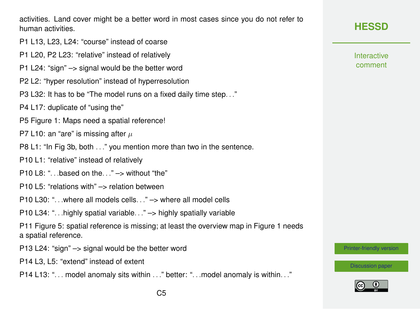activities. Land cover might be a better word in most cases since you do not refer to human activities.

- P1 L13, L23, L24: "course" instead of coarse
- P1 L20, P2 L23: "relative" instead of relatively
- P1 L24: "sign" –> signal would be the better word
- P2 L2: "hyper resolution" instead of hyperresolution
- P3 L32: It has to be "The model runs on a fixed daily time step. . ."
- P4 L17: duplicate of "using the"
- P5 Figure 1: Maps need a spatial reference!
- P7 L10: an "are" is missing after  $\mu$
- P8 L1: "In Fig 3b, both . . ." you mention more than two in the sentence.
- P10 L1: "relative" instead of relatively
- P10 L8: " $\ldots$  based on the.  $\ldots$ "  $\rightarrow$  without "the"
- P10 L5: "relations with" –> relation between
- P10 L30: "... where all models cells..." -> where all model cells
- P10 L34: ". . .highly spatial variable. . ." –> highly spatially variable

P11 Figure 5: spatial reference is missing; at least the overview map in Figure 1 needs a spatial reference.

- P13 L24: "sign" –> signal would be the better word
- P14 L3, L5: "extend" instead of extent

P14 L13: "... model anomaly sits within ..." better: "...model anomaly is within..."

**Interactive** comment

[Printer-friendly version](https://www.hydrol-earth-syst-sci-discuss.net/hess-2017-629/hess-2017-629-RC2-print.pdf)